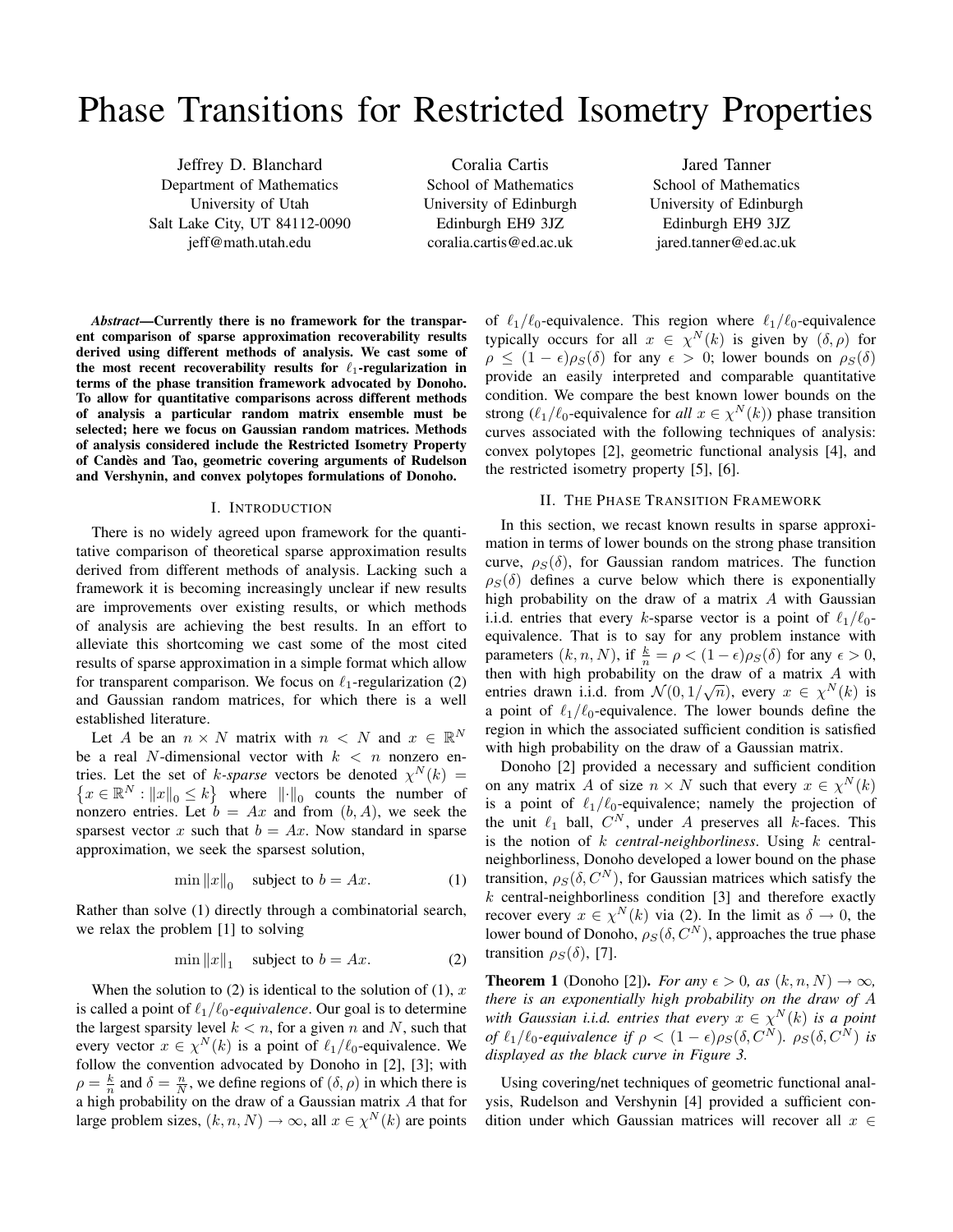# Phase Transitions for Restricted Isometry Properties

Jeffrey D. Blanchard Department of Mathematics University of Utah Salt Lake City, UT 84112-0090 jeff@math.utah.edu

Coralia Cartis School of Mathematics University of Edinburgh Edinburgh EH9 3JZ coralia.cartis@ed.ac.uk

Jared Tanner School of Mathematics University of Edinburgh Edinburgh EH9 3JZ jared.tanner@ed.ac.uk

*Abstract*—Currently there is no framework for the transparent comparison of sparse approximation recoverability results derived using different methods of analysis. We cast some of the most recent recoverability results for  $\ell_1$ -regularization in terms of the phase transition framework advocated by Donoho. To allow for quantitative comparisons across different methods of analysis a particular random matrix ensemble must be selected; here we focus on Gaussian random matrices. Methods of analysis considered include the Restricted Isometry Property of Candes and Tao, geometric covering arguments of Rudelson ` and Vershynin, and convex polytopes formulations of Donoho.

#### I. INTRODUCTION

There is no widely agreed upon framework for the quantitative comparison of theoretical sparse approximation results derived from different methods of analysis. Lacking such a framework it is becoming increasingly unclear if new results are improvements over existing results, or which methods of analysis are achieving the best results. In an effort to alleviate this shortcoming we cast some of the most cited results of sparse approximation in a simple format which allow for transparent comparison. We focus on  $\ell_1$ -regularization (2) and Gaussian random matrices, for which there is a well established literature.

Let A be an  $n \times N$  matrix with  $n \times N$  and  $x \in \mathbb{R}^N$ be a real N-dimensional vector with  $k < n$  nonzero entries. Let the set of k-sparse vectors be denoted  $\chi^N(k)$  =  $\{x \in \mathbb{R}^N : ||x||_0 \le k\}$  where  $||\cdot||_0$  counts the number of nonzero entries. Let  $b = Ax$  and from  $(b, A)$ , we seek the sparsest vector x such that  $b = Ax$ . Now standard in sparse approximation, we seek the sparsest solution,

$$
\min \|x\|_0 \quad \text{subject to } b = Ax. \tag{1}
$$

Rather than solve (1) directly through a combinatorial search, we relax the problem [1] to solving

$$
\min \|x\|_1 \quad \text{subject to } b = Ax. \tag{2}
$$

When the solution to (2) is identical to the solution of (1),  $x$ is called a point of  $\ell_1/\ell_0$ -equivalence. Our goal is to determine the largest sparsity level  $k < n$ , for a given n and N, such that every vector  $x \in \chi^N(k)$  is a point of  $\ell_1/\ell_0$ -equivalence. We follow the convention advocated by Donoho in [2], [3]; with  $\rho = \frac{k}{n}$  and  $\delta = \frac{n}{N}$ , we define regions of  $(\delta, \rho)$  in which there is a high probability on the draw of a Gaussian matrix A that for large problem sizes,  $(k, n, N) \rightarrow \infty$ , all  $x \in \chi^N(k)$  are points of  $\ell_1/\ell_0$ -equivalence. This region where  $\ell_1/\ell_0$ -equivalence typically occurs for all  $x \in \chi^N(k)$  is given by  $(\delta, \rho)$  for  $\rho \leq (1 - \epsilon) \rho_S(\delta)$  for any  $\epsilon > 0$ ; lower bounds on  $\rho_S(\delta)$ provide an easily interpreted and comparable quantitative condition. We compare the best known lower bounds on the strong  $(\ell_1/\ell_0)$ -equivalence for *all*  $x \in \chi^N(k)$  phase transition curves associated with the following techniques of analysis: convex polytopes [2], geometric functional analysis [4], and the restricted isometry property [5], [6].

#### II. THE PHASE TRANSITION FRAMEWORK

In this section, we recast known results in sparse approximation in terms of lower bounds on the strong phase transition curve,  $\rho_S(\delta)$ , for Gaussian random matrices. The function  $\rho_S(\delta)$  defines a curve below which there is exponentially high probability on the draw of a matrix A with Gaussian i.i.d. entries that every k-sparse vector is a point of  $\ell_1/\ell_0$ equivalence. That is to say for any problem instance with parameters  $(k, n, N)$ , if  $\frac{k}{n} = \rho < (1 - \epsilon) \rho_S(\delta)$  for any  $\epsilon > 0$ , then with high probability on the draw of a matrix A with entries drawn i.i.d. from  $\mathcal{N}(0, 1/\sqrt{n})$ , every  $x \in \chi^N(k)$  is a point of  $\ell_1/\ell_0$ -equivalence. The lower bounds define the region in which the associated sufficient condition is satisfied with high probability on the draw of a Gaussian matrix.

Donoho [2] provided a necessary and sufficient condition on any matrix A of size  $n \times N$  such that every  $x \in \chi^N(k)$ is a point of  $\ell_1/\ell_0$ -equivalence; namely the projection of the unit  $\ell_1$  ball,  $C^N$ , under A preserves all k-faces. This is the notion of k *central-neighborliness*. Using k centralneighborliness, Donoho developed a lower bound on the phase transition,  $\rho_S(\delta, C^N)$ , for Gaussian matrices which satisfy the  $k$  central-neighborliness condition [3] and therefore exactly recover every  $x \in \chi^N(k)$  via (2). In the limit as  $\delta \to 0$ , the lower bound of Donoho,  $\rho_S(\delta, C^N)$ , approaches the true phase transition  $\rho_S(\delta)$ , [7].

**Theorem 1** (Donoho [2]). *For any*  $\epsilon > 0$ , *as*  $(k, n, N) \rightarrow \infty$ , *there is an exponentially high probability on the draw of* A with Gaussian *i.i.d.* entries that every  $x \in \chi^N(k)$  is a point *of*  $\ell_1/\ell_0$ -equivalence if  $\rho < (1 - \epsilon)\rho_S(\delta, C^N)$ .  $\rho_S(\delta, C^N)$  is *displayed as the black curve in Figure 3.*

Using covering/net techniques of geometric functional analysis, Rudelson and Vershynin [4] provided a sufficient condition under which Gaussian matrices will recover all  $x \in$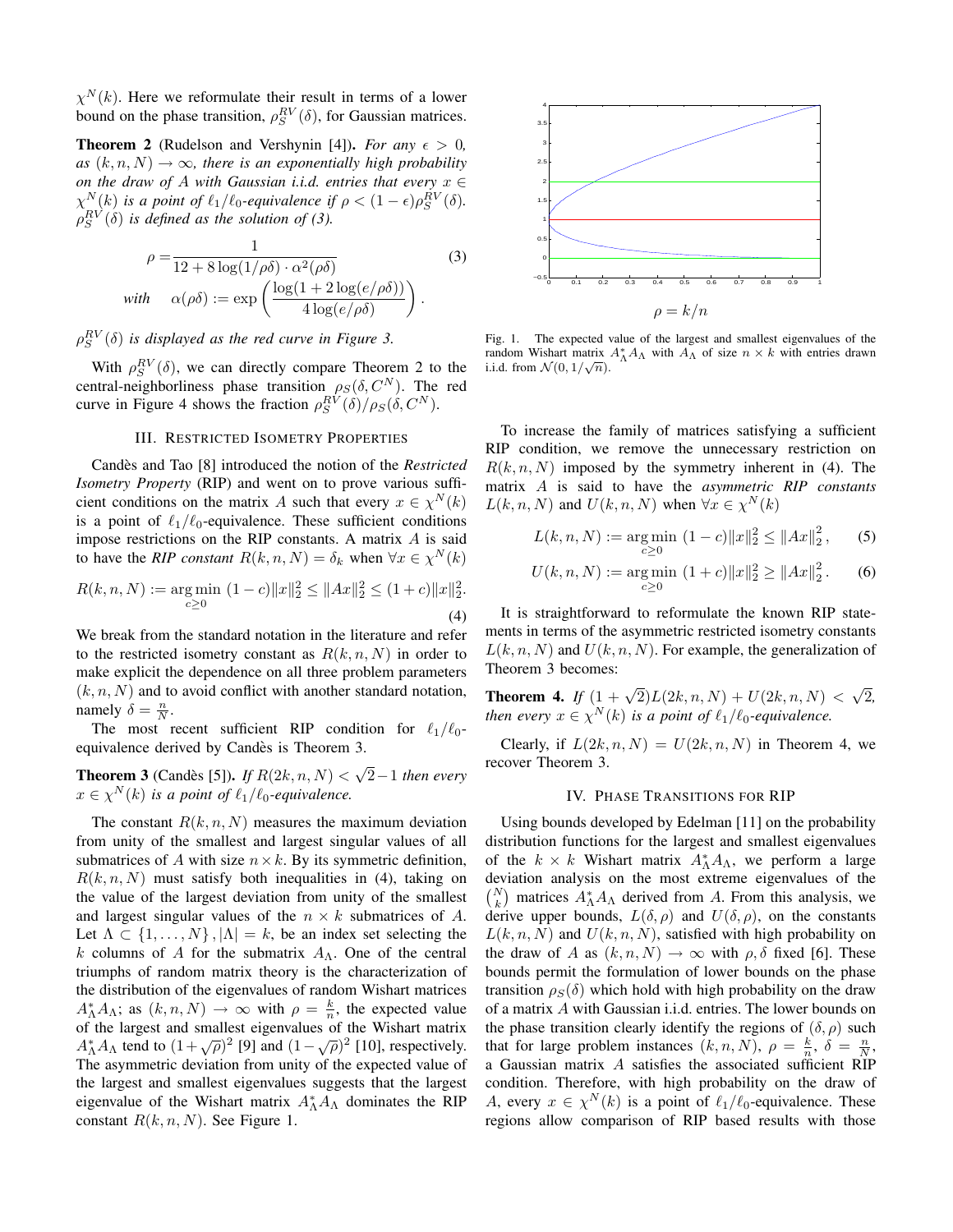$\chi^{N}(k)$ . Here we reformulate their result in terms of a lower bound on the phase transition,  $\rho_S^{RV}(\delta)$ , for Gaussian matrices.

**Theorem 2** (Rudelson and Vershynin [4]). *For any*  $\epsilon > 0$ ,  $as (k, n, N) \rightarrow \infty$ , there is an exponentially high probability *on the draw of* A *with Gaussian i.i.d. entries that every* x ∈  $\chi_{\text{max}}^N(k)$  is a point of  $\ell_1/\ell_0$ -equivalence if  $\rho < (1 - \epsilon)\rho_S^{RV}(\delta)$ .  $\rho_S^{RV}(\delta)$  is defined as the solution of (3).

$$
\rho = \frac{1}{12 + 8\log(1/\rho\delta) \cdot \alpha^2(\rho\delta)} \tag{3}
$$
  
with 
$$
\alpha(\rho\delta) := \exp\left(\frac{\log(1 + 2\log(e/\rho\delta))}{4\log(e/\rho\delta)}\right).
$$

# $\rho_S^{RV}(\delta)$  is displayed as the red curve in Figure 3.

With  $\rho_S^{RV}(\delta)$ , we can directly compare Theorem 2 to the central-neighborliness phase transition  $\rho_S(\delta, C^N)$ . The red curve in Figure 4 shows the fraction  $\rho_S^{RV}(\delta)/\rho_S(\delta,C^N)$ .

#### III. RESTRICTED ISOMETRY PROPERTIES

Candès and Tao [8] introduced the notion of the *Restricted Isometry Property* (RIP) and went on to prove various sufficient conditions on the matrix A such that every  $x \in \chi^N(k)$ is a point of  $\ell_1/\ell_0$ -equivalence. These sufficient conditions impose restrictions on the RIP constants. A matrix A is said to have the *RIP constant*  $R(k, n, N) = \delta_k$  when  $\forall x \in \chi^N(k)$ 

$$
R(k, n, N) := \underset{c \ge 0}{\text{arg min}} \ (1 - c) \|x\|_2^2 \le \|Ax\|_2^2 \le (1 + c) \|x\|_2^2.
$$
\n
$$
(4)
$$

We break from the standard notation in the literature and refer to the restricted isometry constant as  $R(k, n, N)$  in order to make explicit the dependence on all three problem parameters  $(k, n, N)$  and to avoid conflict with another standard notation, namely  $\delta = \frac{n}{N}$ .

The most recent sufficient RIP condition for  $\ell_1/\ell_0$ equivalence derived by Candes is Theorem 3. `

**Theorem 3** (Candès [5]). If  $R(2k, n, N)$  < √ 2−1 *then every*  $x \in \chi^N(k)$  is a point of  $\ell_1/\ell_0$ -equivalence.

The constant  $R(k, n, N)$  measures the maximum deviation from unity of the smallest and largest singular values of all submatrices of A with size  $n \times k$ . By its symmetric definition,  $R(k, n, N)$  must satisfy both inequalities in (4), taking on the value of the largest deviation from unity of the smallest and largest singular values of the  $n \times k$  submatrices of A. Let  $\Lambda \subset \{1, \ldots, N\}$ ,  $|\Lambda| = k$ , be an index set selecting the k columns of A for the submatrix  $A_{\Lambda}$ . One of the central triumphs of random matrix theory is the characterization of the distribution of the eigenvalues of random Wishart matrices  $A_{\Lambda}^* A_{\Lambda}$ ; as  $(k, n, N) \to \infty$  with  $\rho = \frac{k}{n}$ , the expected value of the largest and smallest eigenvalues of the Wishart matrix  $A<sub>Λ</sub><sup>*</sup> A<sub>Λ</sub>$  tend to  $(1 + \sqrt{\rho})^2$  [9] and  $(1 - \sqrt{\rho})^2$  [10], respectively. The asymmetric deviation from unity of the expected value of the largest and smallest eigenvalues suggests that the largest eigenvalue of the Wishart matrix  $A_{\Lambda}^* A_{\Lambda}$  dominates the RIP constant  $R(k, n, N)$ . See Figure 1.



Fig. 1. The expected value of the largest and smallest eigenvalues of the random Wishart matrix  $A_{\Lambda}^* A_{\Lambda}$  with  $A_{\Lambda}$  of size  $n \times k$  with entries drawn i.i.d. from  $\mathcal{N}(0, 1/\sqrt{n})$ .

To increase the family of matrices satisfying a sufficient RIP condition, we remove the unnecessary restriction on  $R(k, n, N)$  imposed by the symmetry inherent in (4). The matrix A is said to have the *asymmetric RIP constants*  $L(k, n, N)$  and  $U(k, n, N)$  when  $\forall x \in \chi^N(k)$ 

$$
L(k, n, N) := \underset{c \ge 0}{\arg \min} \ (1 - c) \|x\|_2^2 \le \|Ax\|_2^2, \qquad (5)
$$

$$
U(k, n, N) := \underset{c \ge 0}{\text{arg min}} \ (1 + c) \|x\|_2^2 \ge \|Ax\|_2^2. \tag{6}
$$

It is straightforward to reformulate the known RIP statements in terms of the asymmetric restricted isometry constants  $L(k, n, N)$  and  $U(k, n, N)$ . For example, the generalization of Theorem 3 becomes:

**Theorem 4.** *If*  $(1 + \sqrt{2})L(2k, n, N) + U(2k, n, N)$  < √ 2*, then every*  $x \in \chi^N(k)$  *is a point of*  $\ell_1/\ell_0$ -equivalence.

Clearly, if  $L(2k, n, N) = U(2k, n, N)$  in Theorem 4, we recover Theorem 3.

### IV. PHASE TRANSITIONS FOR RIP

Using bounds developed by Edelman [11] on the probability distribution functions for the largest and smallest eigenvalues of the  $k \times k$  Wishart matrix  $A_{\Lambda}^* A_{\Lambda}$ , we perform a large deviation analysis on the most extreme eigenvalues of the  $\binom{N}{k}$  matrices  $A_{\Lambda}^* A_{\Lambda}$  derived from A. From this analysis, we derive upper bounds,  $L(\delta, \rho)$  and  $U(\delta, \rho)$ , on the constants  $L(k, n, N)$  and  $U(k, n, N)$ , satisfied with high probability on the draw of A as  $(k, n, N) \rightarrow \infty$  with  $\rho, \delta$  fixed [6]. These bounds permit the formulation of lower bounds on the phase transition  $\rho_S(\delta)$  which hold with high probability on the draw of a matrix A with Gaussian i.i.d. entries. The lower bounds on the phase transition clearly identify the regions of  $(\delta, \rho)$  such that for large problem instances  $(k, n, N)$ ,  $\rho = \frac{k}{n}$ ,  $\delta = \frac{n}{N}$ , a Gaussian matrix A satisfies the associated sufficient RIP condition. Therefore, with high probability on the draw of A, every  $x \in \chi^N(k)$  is a point of  $\ell_1/\ell_0$ -equivalence. These regions allow comparison of RIP based results with those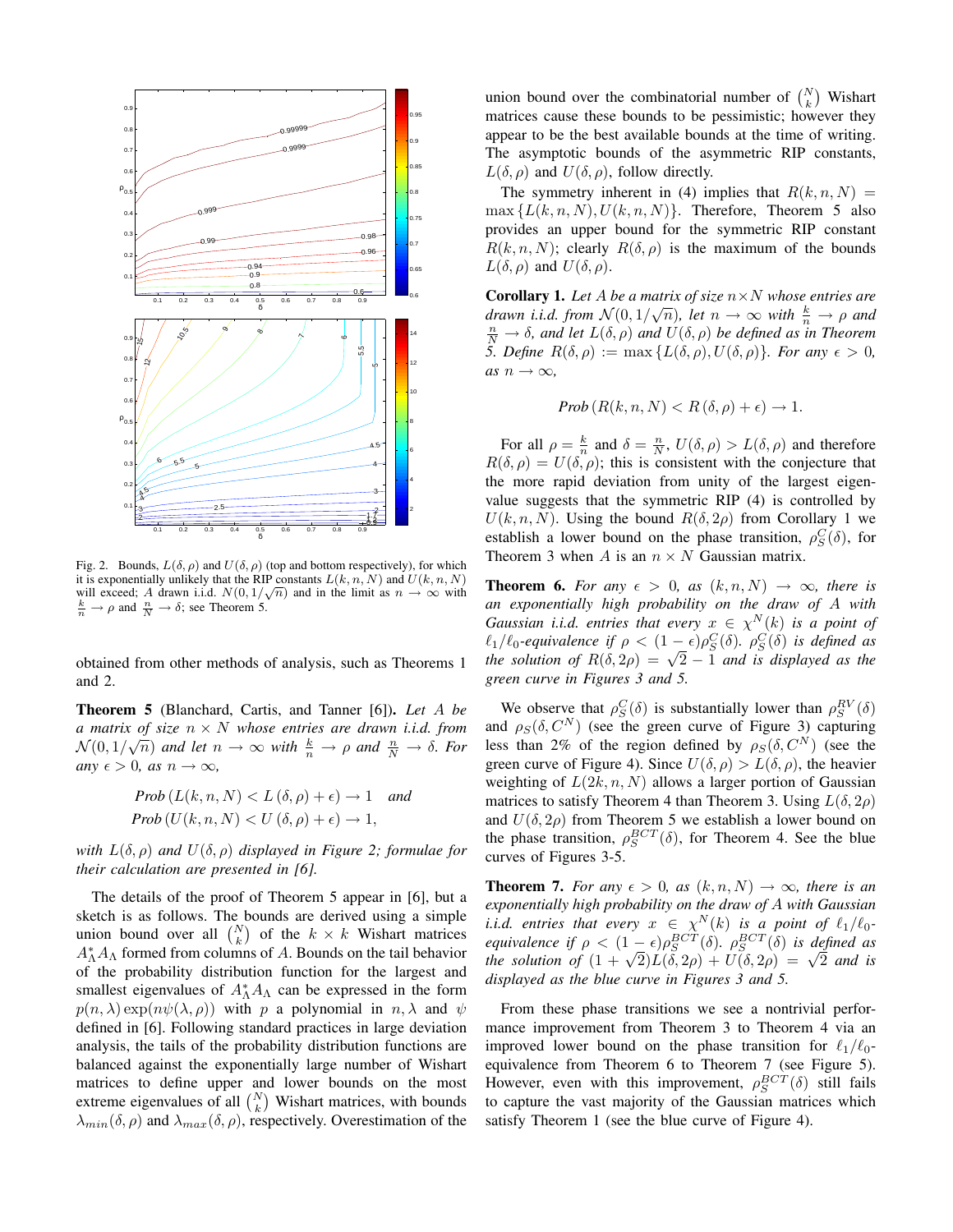

Fig. 2. Bounds,  $L(\delta, \rho)$  and  $U(\delta, \rho)$  (top and bottom respectively), for which it is exponentially unlikely that the RIP constants  $L(k, n, N)$  and  $U(k, n, N)$ will exceed; A drawn i.i.d.  $N(0, 1/\sqrt{n})$  and in the limit as  $n \to \infty$  with  $\frac{k}{n} \to \rho$  and  $\frac{n}{N} \to \delta$ ; see Theorem 5.

obtained from other methods of analysis, such as Theorems 1 and 2.

Theorem 5 (Blanchard, Cartis, and Tanner [6]). *Let* A *be a matrix of size* n × N *whose entries are drawn i.i.d. from*  $N(0, 1/\sqrt{n})$  and let  $n \to \infty$  with  $\frac{k}{n} \to \rho$  and  $\frac{n}{N} \to \delta$ . For *any*  $\epsilon > 0$ *, as*  $n \to \infty$ *,* 

$$
Prob(L(k, n, N) < L(\delta, \rho) + \epsilon) \to 1 \quad and
$$
\n
$$
Prob(U(k, n, N) < U(\delta, \rho) + \epsilon) \to 1,
$$

*with*  $L(\delta, \rho)$  *and*  $U(\delta, \rho)$  *displayed in Figure 2; formulae for their calculation are presented in [6].*

The details of the proof of Theorem 5 appear in [6], but a sketch is as follows. The bounds are derived using a simple union bound over all  $\binom{N}{k}$  of the  $k \times k$  Wishart matrices  $A_{\Lambda}^*A_{\Lambda}$  formed from columns of A. Bounds on the tail behavior of the probability distribution function for the largest and smallest eigenvalues of  $A_{\Lambda}^* A_{\Lambda}$  can be expressed in the form  $p(n, \lambda) \exp(n\psi(\lambda, \rho))$  with p a polynomial in  $n, \lambda$  and  $\psi$ defined in [6]. Following standard practices in large deviation analysis, the tails of the probability distribution functions are balanced against the exponentially large number of Wishart matrices to define upper and lower bounds on the most extreme eigenvalues of all  $\binom{N}{k}$  Wishart matrices, with bounds  $\lambda_{min}(\delta, \rho)$  and  $\lambda_{max}(\delta, \rho)$ , respectively. Overestimation of the

union bound over the combinatorial number of  $\binom{N}{k}$  Wishart matrices cause these bounds to be pessimistic; however they appear to be the best available bounds at the time of writing. The asymptotic bounds of the asymmetric RIP constants,  $L(\delta, \rho)$  and  $U(\delta, \rho)$ , follow directly.

The symmetry inherent in (4) implies that  $R(k, n, N)$  =  $\max \{L(k, n, N), U(k, n, N)\}.$  Therefore, Theorem 5 also provides an upper bound for the symmetric RIP constant  $R(k, n, N)$ ; clearly  $R(\delta, \rho)$  is the maximum of the bounds  $L(\delta, \rho)$  and  $U(\delta, \rho)$ .

Corollary 1. *Let* A *be a matrix of size* n×N *whose entries are drawn i.i.d. from*  $\mathcal{N}(0, 1/\sqrt{n})$ , let  $n \to \infty$  with  $\frac{k}{n} \to \rho$  and drawn i.i.d. from  $\mathcal{N}(0, 1/\sqrt{n})$ , let  $n \to \infty$  with  $\frac{k}{n} \to \rho$  and  $\frac{n}{N} \to \delta$ , and let  $L(\delta, \rho)$  and  $U(\delta, \rho)$  be defined as in Theorem *5. Define*  $R(\delta, \rho) := \max \{ L(\delta, \rho), U(\delta, \rho) \}.$  For any  $\epsilon > 0$ ,  $as n \rightarrow \infty$ ,

$$
Prob(R(k, n, N) < R(\delta, \rho) + \epsilon) \to 1.
$$

For all  $\rho = \frac{k}{n}$  and  $\delta = \frac{n}{N}$ ,  $U(\delta, \rho) > L(\delta, \rho)$  and therefore  $R(\delta, \rho) = U(\delta, \rho)$ ; this is consistent with the conjecture that the more rapid deviation from unity of the largest eigenvalue suggests that the symmetric RIP (4) is controlled by  $U(k, n, N)$ . Using the bound  $R(\delta, 2\rho)$  from Corollary 1 we establish a lower bound on the phase transition,  $\rho_S^C(\delta)$ , for Theorem 3 when A is an  $n \times N$  Gaussian matrix.

**Theorem 6.** *For any*  $\epsilon > 0$ , *as*  $(k, n, N) \rightarrow \infty$ , *there is an exponentially high probability on the draw of* A *with Gaussian i.i.d. entries that every*  $x \in \chi^N(k)$  *is a point of*  $\ell_1/\ell_0$ -equivalence if  $\rho < (1-\epsilon)\rho_S^C(\delta)$ .  $\rho_S^C(\delta)$  is defined as *t*<sub>1</sub>/*t*<sub>0</sub>-equivalence if  $\rho < (1 - \epsilon)\rho_{\tilde{S}}(0)$ .  $\rho_{\tilde{S}}(0)$  is defined as the solution of  $R(\delta, 2\rho) = \sqrt{2} - 1$  and is displayed as the *green curve in Figures 3 and 5.*

We observe that  $\rho_S^C(\delta)$  is substantially lower than  $\rho_S^{RV}(\delta)$ and  $\rho_S(\delta, C^N)$  (see the green curve of Figure 3) capturing less than 2% of the region defined by  $\rho_S(\delta, C^N)$  (see the green curve of Figure 4). Since  $U(\delta, \rho) > L(\delta, \rho)$ , the heavier weighting of  $L(2k, n, N)$  allows a larger portion of Gaussian matrices to satisfy Theorem 4 than Theorem 3. Using  $L(\delta, 2\rho)$ and  $U(\delta, 2\rho)$  from Theorem 5 we establish a lower bound on the phase transition,  $\rho_S^{BCT}(\delta)$ , for Theorem 4. See the blue curves of Figures 3-5.

**Theorem 7.** For any  $\epsilon > 0$ , as  $(k, n, N) \rightarrow \infty$ , there is an *exponentially high probability on the draw of* A *with Gaussian i.i.d.* entries that every  $x \in \chi^N(k)$  is a point of  $\ell_1/\ell_0$ *equivalence if*  $\rho < (1 - \epsilon) \rho_S^{BCT}(\delta)$ .  $\rho_S^{BCT}(\delta)$  *is defined as equivalence if*  $\rho < (1 - \epsilon)\rho_{\tilde{S}}^{\infty}$  (*o*).  $\rho_{\tilde{S}}^{\infty}$  (*o*) is defined as<br>the solution of  $(1 + \sqrt{2})L(\delta, 2\rho) + U(\delta, 2\rho) = \sqrt{2}$  and is *displayed as the blue curve in Figures 3 and 5.*

From these phase transitions we see a nontrivial performance improvement from Theorem 3 to Theorem 4 via an improved lower bound on the phase transition for  $\ell_1/\ell_0$ equivalence from Theorem 6 to Theorem 7 (see Figure 5). However, even with this improvement,  $\rho_S^{BCT}(\delta)$  still fails to capture the vast majority of the Gaussian matrices which satisfy Theorem 1 (see the blue curve of Figure 4).